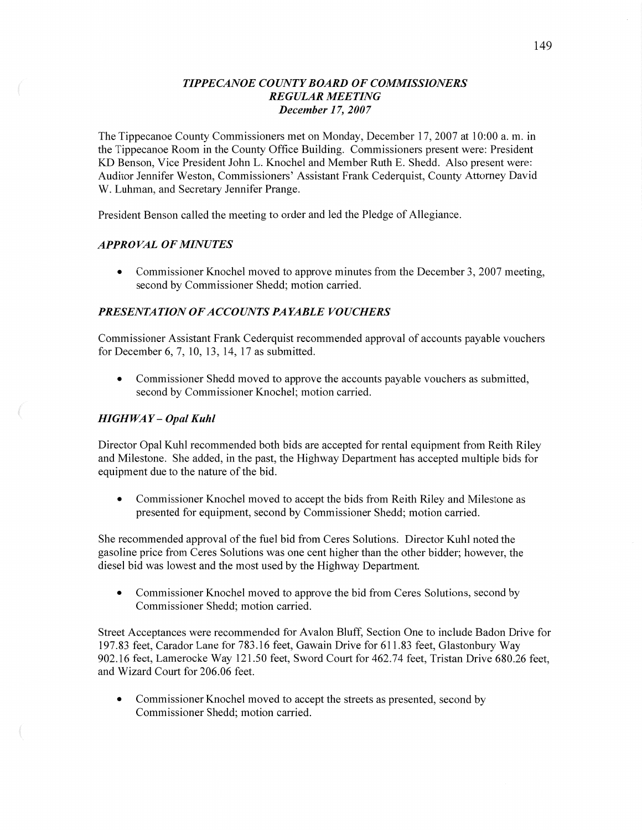## *TIPPECANOE COUNTY BOARD* OF *COMMISSIONERS REGULAR MEETING December* 17, *2007*

The Tippecanoe County Commissioners met on Monday, December 17, 2007 at 10:00 a. m. in the Tippecanoe Room in the County Office Building. Commissioners present were: President KD Benson, Vice President John L. Knochel and Member Ruth E. Shedd. Also present were: Auditor Jennifer Weston, Commissioners' Assistant Frank Cederquist, County Attorney David W. Luhman, and Secretary Jennifer Prange.

President Benson called the meeting to order and led the Pledge of Allegiance.

### *APPROVAL* OF *MINUTES*

• Commissioner Knochel moved to approve minutes from the December 3, 2007 meeting, second by Commissioner Shedd; motion carried.

## *PRESENTATION* OF *ACCOUNT S PAYABLE VOUCHERS*

Commissioner Assistant Frank Cederquist recommended approval of accounts payable vouchers for December 6, 7, 10, 13, 14, 17 as submitted.

**0** Commissioner Shedd moved to approve the accounts payable vouchers as submitted, second by Commissioner Knochel; motion carried.

### *HIGH* WAY **—** *Opal Kuhl*

Director Opal Kuhl recommended both bids are accepted for rental equipment from Keith Riley and Milestone. She added, in the past, the Highway Department has accepted multiple bids for equipment due to the nature of the bid.

**0** Commissioner Knochel moved to accept the bids from Keith Riley and Milestone as presented for equipment, second by Commissioner Shedd; motion carried.

She recommended approval of the fuel bid from Ceres Solutions. Director Kuhl noted the gasoline price from Ceres Solutions was one cent higher than the other bidder; however, the diesel bid was lowest and the most used by the Highway Department

• Commissioner Knochel moved to approve the bid from Ceres Solutions, second by Commissioner Shedd; motion carried.

Street Acceptances were recommended for Avalon Bluff, Section One to include Badon Drive for 197.83 feet, Carador Lane for 783.16 feet, Gawain Drive for 611.83 feet, Glastonbury Way 902.16 feet, Lamerocke Way 121.50 feet, Sword Court for 462.74 feet, Tristan Drive 680.26 feet, and Wizard Court for 206.06 feet.

• Commissioner Knochel moved to accept the streets as presented, second by Commissioner Shedd; motion carried.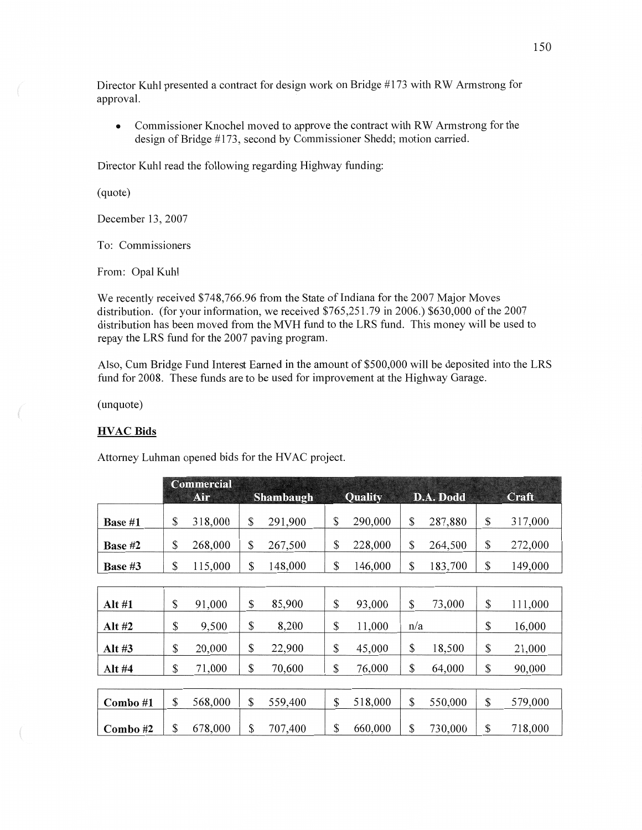Director Kuhl presented **a** contract for design work on Bridge #173 with RW Armstrong for approval.

**0** Commissioner Knochel moved to approve the contract with RW Armstrong for the design of Bridge #173, second by Commissioner Shedd; motion carried.

Director Kuhl read the following regarding Highway funding:

(quote)

December 13, 2007

To: Commissioners

From: Opal Kuhl

We recently received \$748,766.96 from the State of Indiana for the 2007 Major Moves distribution. (for your information, we received \$765,251.79 in 2006.) \$630,000 of the 2007 distribution has been moved from the MVH fund to the LRS fund. This money will be used to repay the LRS fimd for the 2007 paving program.

Also, Cum Bridge Fund Interest Earned in the amount of \$500,000 will be deposited **into** the LRS fund for 2008. **These** funds are to be used for improvement at the Highway Garage.

(unquote)

## **HVAC Bids**

Attorney Luhman opened bids for the **HVAC** project.

|                | <b>Commercial</b><br>Air | Shambaugh     | <b>Quality</b> |     | D.A. Dodd | Craft         |
|----------------|--------------------------|---------------|----------------|-----|-----------|---------------|
| <b>Base #1</b> | \$<br>318,000            | \$<br>291,900 | \$<br>290,000  | \$  | 287,880   | \$<br>317,000 |
| Base $#2$      | \$<br>268,000            | \$<br>267,500 | \$<br>228,000  | \$  | 264,500   | \$<br>272,000 |
| Base $#3$      | \$<br>115,000            | \$<br>148,000 | \$<br>146,000  | \$  | 183,700   | \$<br>149,000 |
|                |                          |               |                |     |           |               |
| Alt #1         | \$<br>91,000             | \$<br>85,900  | \$<br>93,000   | \$  | 73,000    | \$<br>111,000 |
| Alt #2         | \$<br>9,500              | \$<br>8,200   | \$<br>11,000   | n/a |           | \$<br>16,000  |
| Alt $#3$       | \$<br>20,000             | \$<br>22,900  | \$<br>45,000   | \$  | 18,500    | \$<br>21,000  |
| Alt #4         | \$<br>71,000             | \$<br>70,600  | \$<br>76,000   | \$  | 64,000    | \$<br>90,000  |
|                |                          |               |                |     |           |               |
| $Combo \#1$    | \$<br>568,000            | \$<br>559,400 | \$<br>518,000  | \$  | 550,000   | \$<br>579,000 |
| Combo#2        | \$<br>678,000            | \$<br>707,400 | \$<br>660,000  | \$  | 730,000   | \$<br>718,000 |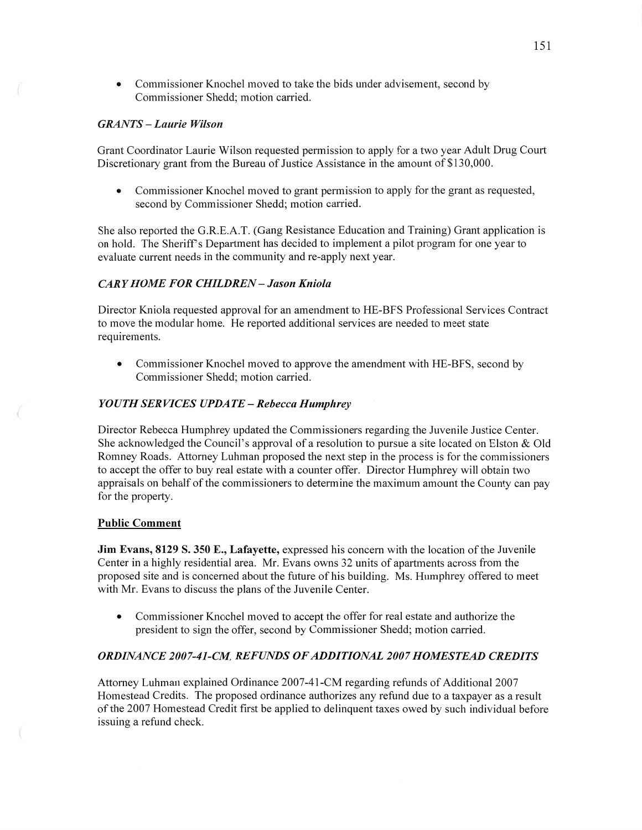• Commissioner Knochel moved to take the bids under advisement, second by Commissioner Shedd; motion carried.

## *GRANTS* — *Laurie Wilson*

Grant Coordinator Laurie Wilson requested permission to apply for a two year Adult Drug Court Discretionary grant from the Bureau of Justice Assistance in the amount of \$130,000.

**0** Commissioner Knochel moved to grant permission to apply for the grant as requested, second by Commissioner Shedd; motion carried.

She also reported the G.R.E.A.T. (Gang Resistance Education and Training) Grant application is on hold. The Sheriff" *3* Department has decided to implement **a** pilot program for one year to evaluate current needs in the community and re-apply next year.

## **CARY HOME FOR CHILDREN - Jason Kniola**

Director Kniola requested approval for an amendment to HE-BFS Professional Services Contract to move the modular home. He reported additional services are needed to meet state requirements.

**0** Commissioner Knochel moved to approve the amendment with HE-BFS, second by Commissioner Shedd; motion carried.

### *YOUTH SERVICES UPDATE - Rebecca Humphrey*

Director Rebecca Humphrey updated the Commissioners regarding the Juvenile Justice Center. She acknowledged the Council's approval of **a** resolution to pursue a site located on Elston & Old Romney Roads. Attorney Luhman proposed the next step in the process is for the commissioners to accept the offer to buy real estate with a counter offer. Director Humphrey will obtain two appraisals on behalf of the commissioners to determine the maximum amount the County can pay for the property.

#### Public Comment

Jim **Evans, 8129** S. 350 E., **Lafayette,** expressed his concern with the location of the Juvenile Center in a highly residential area. Mr. Evans owns 32 units of apartments across from the proposed site and is concerned about the future of his building. Ms. Humphrey offered to meet with Mr. Evans to discuss the plans of the Juvenile Center.

**0** Commissioner Knochel moved to accept the offer for real estate and authorize the president to sign the offer, second by Commissioner Shedd; motion carried.

#### *ORDINANCE 2007-41-CM REFUNDS* 0F *ADDITIONAL 2007 HOMESTEAD CREDITS*

Attorney Luhman explained Ordinance 2007-41-CM regarding refunds of Additional 2007 Homestead Credits. The proposed ordinance authorizes any refund due to a taxpayer as **a** result of the 2007 Homestead Credit first be applied to delinquent taxes owed by such individual before issuing a refund check.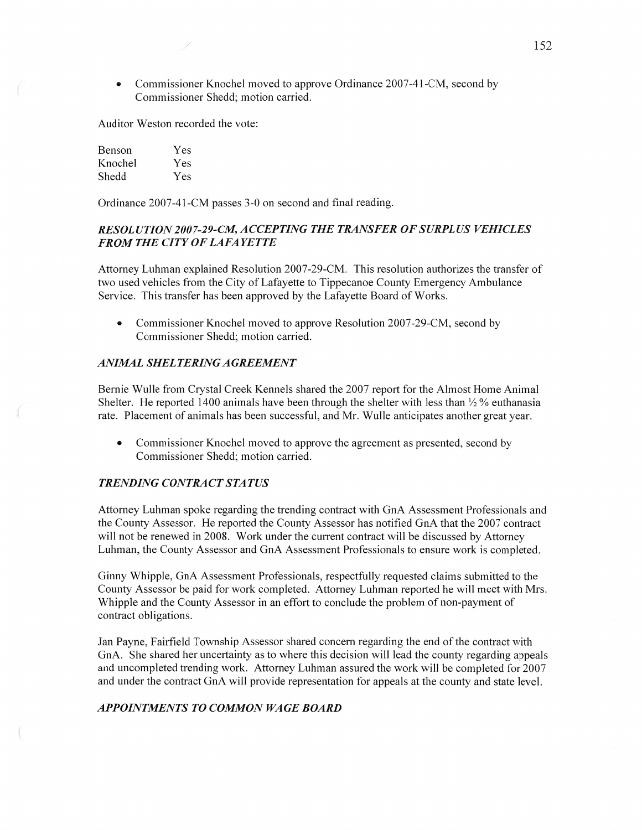• Commissioner Knochel moved to approve Ordinance 2007-41-CM, second by Commissioner Shedd; motion carried.

Auditor Weston recorded the vote:

| Benson  | Yes |
|---------|-----|
| Knochel | Yes |
| Shedd   | Yes |

Ordinance 2007-41-CM passes 3-0 on second and final reading.

## *RESOL* UT ION 200 *7-29-C.M, ACCEPTING* THE *TRANSFER* OF *SURPLUS VEHICLES FROM* THE *CITYOFLAFAYETTE*

Attorney Luhman explained Resolution 2007-29—CM. This resolution authorizes the transfer of two used vehicles from the City of Lafayette to Tippecanoe County Emergency Ambulance Service. This transfer has been approved by the Lafayette Board of Works.

**0** Commissioner Knochel moved to approve Resolution 2007-29-CM, second by Commissioner Shedd; motion carried.

### *ANIMAL SHELTERING AGREEMENT*

Bernie Wulle from Crystal Creek Kennels shared the 2007 report for the Almost Home Animal Shelter. He reported 1400 animals have been through the shelter with less than  $\frac{1}{2}$ % euthanasia rate. Placement of animals has been successful, and Mr. Wulle anticipates another great year.

**0** Commissioner Knochel moved to approve the agreement as presented, second by Commissioner Shedd; motion carried.

### *TRENDING CONTRACTSTATUS*

Attorney Luhman spoke regarding the trending contract with GnA Assessment Professionals and the County Assessor. He reported the County Assessor has notified GnA that the 2007 contract will not be renewed in 2008. Work under the current contract will be discussed by Attorney Luhman, the County Assessor and GnA Assessment Professionals to ensure work is completed.

Ginny Whipple, GnA Assessment Professionals, respectfully requested claims submitted to the County Assessor be paid for work completed. Attorney Luhman reported he will meet with Mrs. Whipple and the County Assessor in an effort to conclude the problem of non-payment of contract obligations.

Jan Payne, Fairfield Township Assessor shared concern regarding the end of the contract with GnA. She shared her uncertainty as to where this decision will lead the county regarding appeals and uncompleted trending work. Attorney Luhman assured the work will be completed for 2007 and under the contract GnA will provide representation for appeals at the county and state level.

## **APPOINTMENTS TO COMMON WAGE BOARD**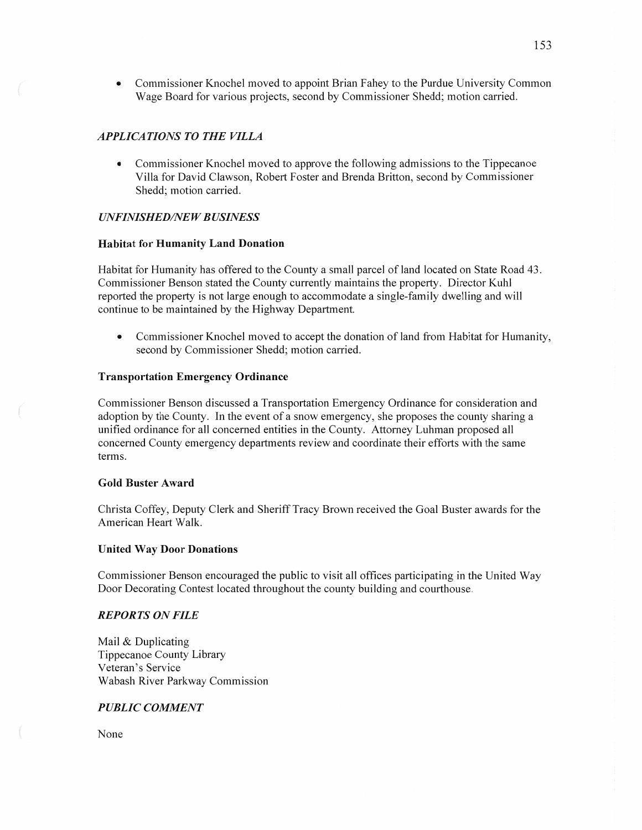**0** Commissioner Knochel moved to appoint Brian Fahey to the Purdue University Common Wage Board for various projects, second by Commissioner Shedd; motion carried.

## *APPLICATIONS TO THE VILLA*

**0** Commissioner Knochel moved to approve the following admissions to the Tippecanoe Villa for David Clawson, Robert Foster and Brenda Britten, second by Commissioner Shedd; motion carried.

### *UNFINISHED/NEW BUSINESS*

#### **Habitat** for **Humanity Land Donation**

Habitat for Humanity has offered to the County a small parcel of land located on State Road 43. Commissioner Benson stated the County currently maintains the property. Director Kuh] reported the property is not large enough to accommodate a single-family dwelling and will continue to be maintained by the Highway Department.

**0** Commissioner Knochel moved to accept the donation of land from Habitat for Humanity, second by Commissioner Shedd; motion carried.

### **Transportation Emergency** Ordinance

Commissioner Benson discussed **a** Transportation Emergency Ordinance for consideration and adoption by the County. In the event of **a** snow emergency, she proposes the county sharing a unified ordinance for all concerned entities in the County. Attorney Luhman proposed all concerned County emergency departments review and coordinate their efforts with the same terms.

### **Gold Buster Award**

Christa Coffey, Deputy Clerk and Sheriff Tracy Brown received the Goal Buster awards for the American Heart Walk.

### **United** Way **Door** Donations

Commissioner Benson encouraged the public to Visit all offices participating in the United Way Door Decorating Contest located throughout the county building and courthouse.

### *REPORTS* ON *FILE*

Mail & Duplicating Tippecanoe County Library Veteran's Service Wabash River Parkway Commission

### *PUBLIC COMMENT*

None